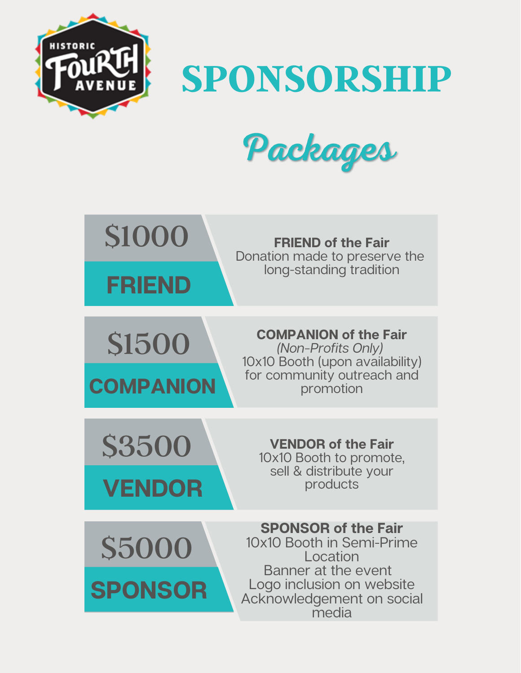

**SPONSORSHIP**



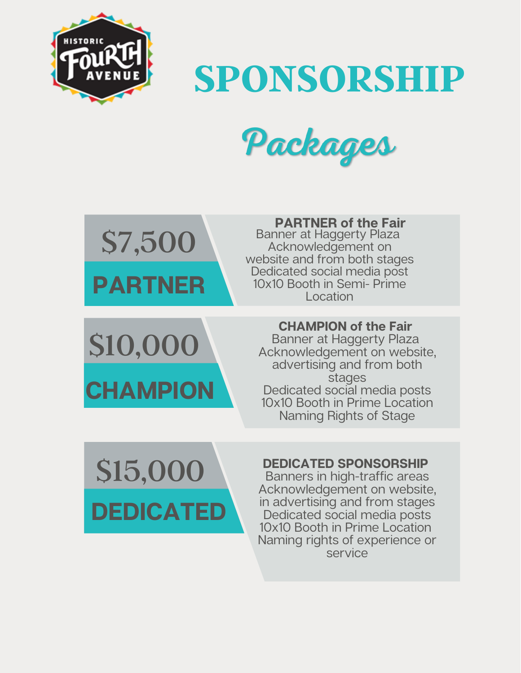

**SPONSORSHIP**



**PARTNER** \$7,500

**PARTNER of the Fair**

Banner at Haggerty Plaza Acknowledgement on website and from both stages Dedicated social media post 10x10 Booth in Semi- Prime Location

\$10,000 **CHAMPION**

### **CHAMPION of the Fair**

Banner at Haggerty Plaza Acknowledgement on website, advertising and from both stages Dedicated social media posts 10x10 Booth in Prime Location Naming Rights of Stage



### **DEDICATED SPONSORSHIP**

Banners in high-traffic areas Acknowledgement on website, in advertising and from stages Dedicated social media posts 10x10 Booth in Prime Location Naming rights of experience or service